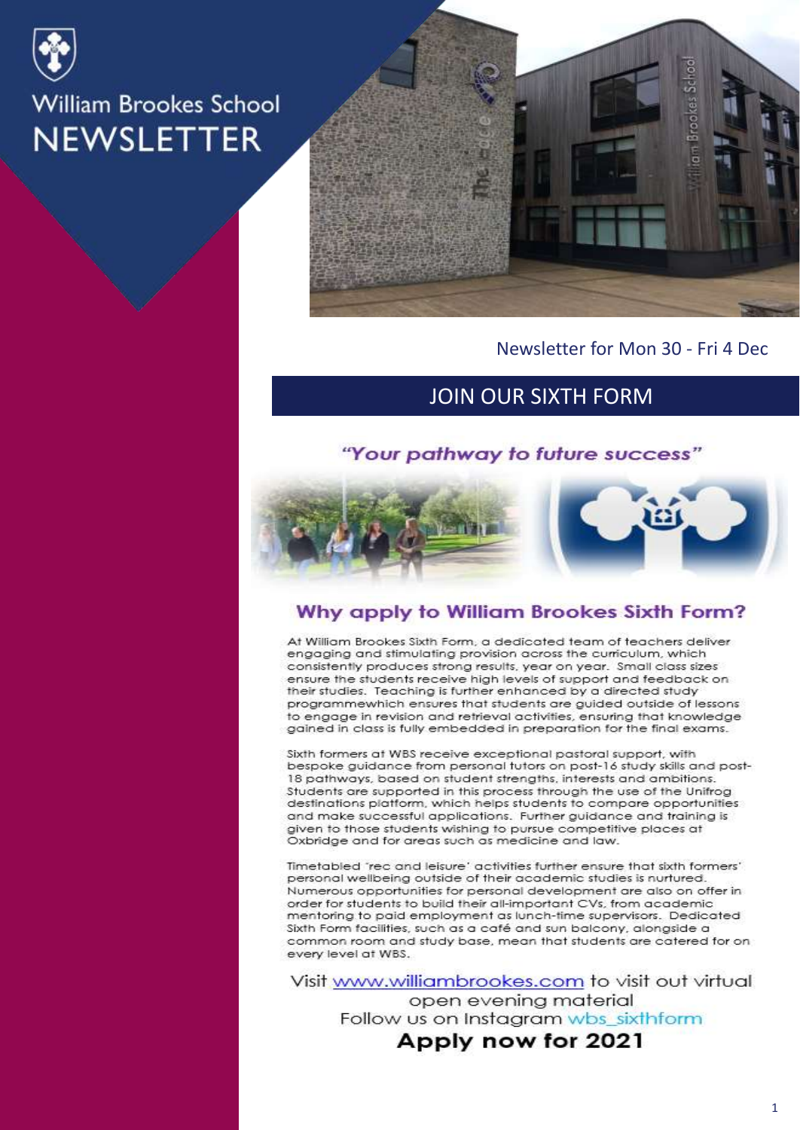



Newsletter for Mon 30 - Fri 4 Dec

## JOIN OUR SIXTH FORM

#### "Your pathway to future success"



#### Why apply to William Brookes Sixth Form?

At William Brookes Sixth Form, a dedicated team of teachers deliver engaging and stimulating provision across the curriculum, which consistently produces strong results, year on year. Small class sizes ensure the students receive high levels of support and feedback on their studies. Teaching is further enhanced by a directed study programmewhich ensures that students are guided outside of lessons to engage in revision and retrieval activities, ensuring that knowledge gained in class is fully embedded in preparation for the final exams.

Sixth formers at WBS receive exceptional pastoral support, with bespoke guidance from personal tutors on post-16 study skills and post-18 pathways, based on student strengths, interests and ambitions. Students are supported in this process through the use of the Unifrog destinations platform, which helps students to compare opportunities and make successful applications. Further guidance and training is given to those students wishing to pursue competitive places at Oxbridge and for areas such as medicine and law.

Timetabled 'rec and leisure' activities further ensure that sixth formers' personal wellbeing outside of their academic studies is nurtured. Numerous opportunities for personal development are also on offer in order for students to build their all-important CVs, from academic mentoring to paid employment as lunch-time supervisors. Dedicated Sixth Form facilities, such as a café and sun balcony, alongside a common room and study base, mean that students are catered for on every level at WBS.

Visit www.williambrookes.com to visit out virtual open evening material Follow us on Instagram wbs\_sixthform Apply now for 2021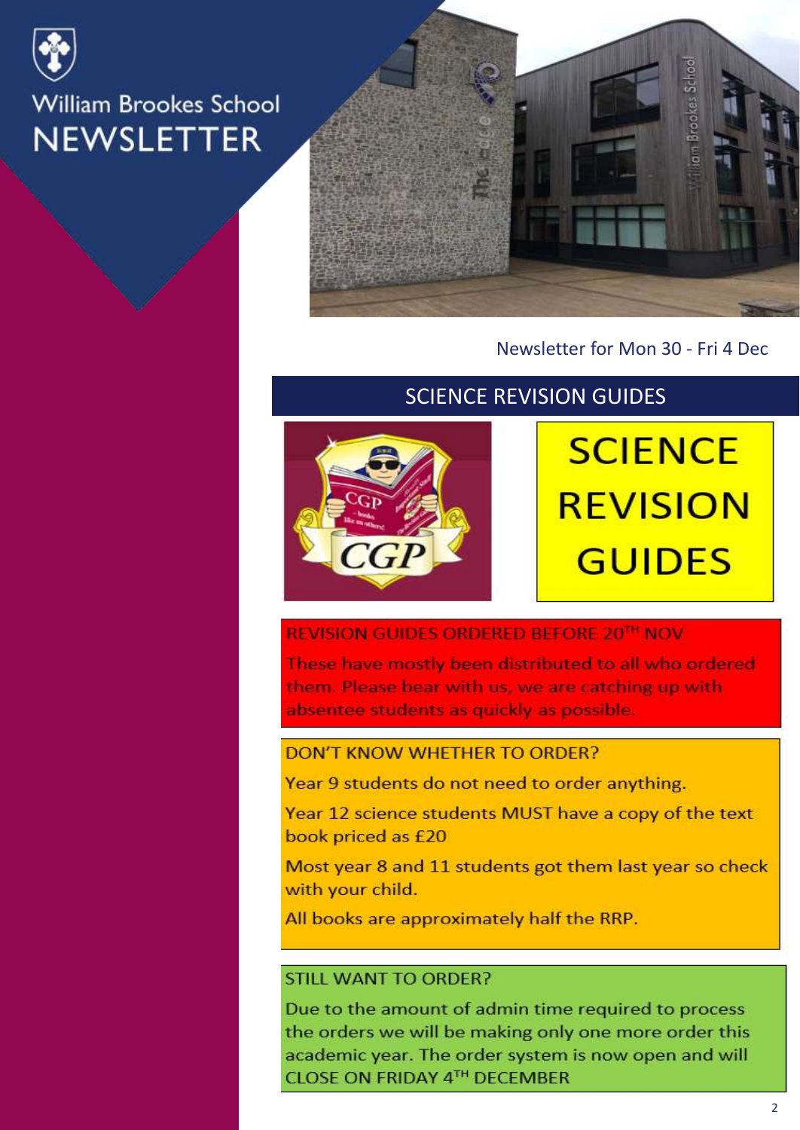



## Newsletter for Mon 30 - Fri 4 Dec

## **SCIENCE REVISION GUIDES**



# **SCIENCE REVISION GUIDES**

#### REVISION GUIDES ORDERED BEFORE 20TH NOV

These have mostly been distributed to all who ordered them. Please bear with us, we are catching up with absentee students as quickly as possible.

#### DON'T KNOW WHETHER TO ORDER?

Year 9 students do not need to order anything.

Year 12 science students MUST have a copy of the text book priced as £20

Most year 8 and 11 students got them last year so check with your child.

All books are approximately half the RRP.

#### STILL WANT TO ORDER?

Due to the amount of admin time required to process the orders we will be making only one more order this academic year. The order system is now open and will **CLOSE ON FRIDAY 4TH DECEMBER**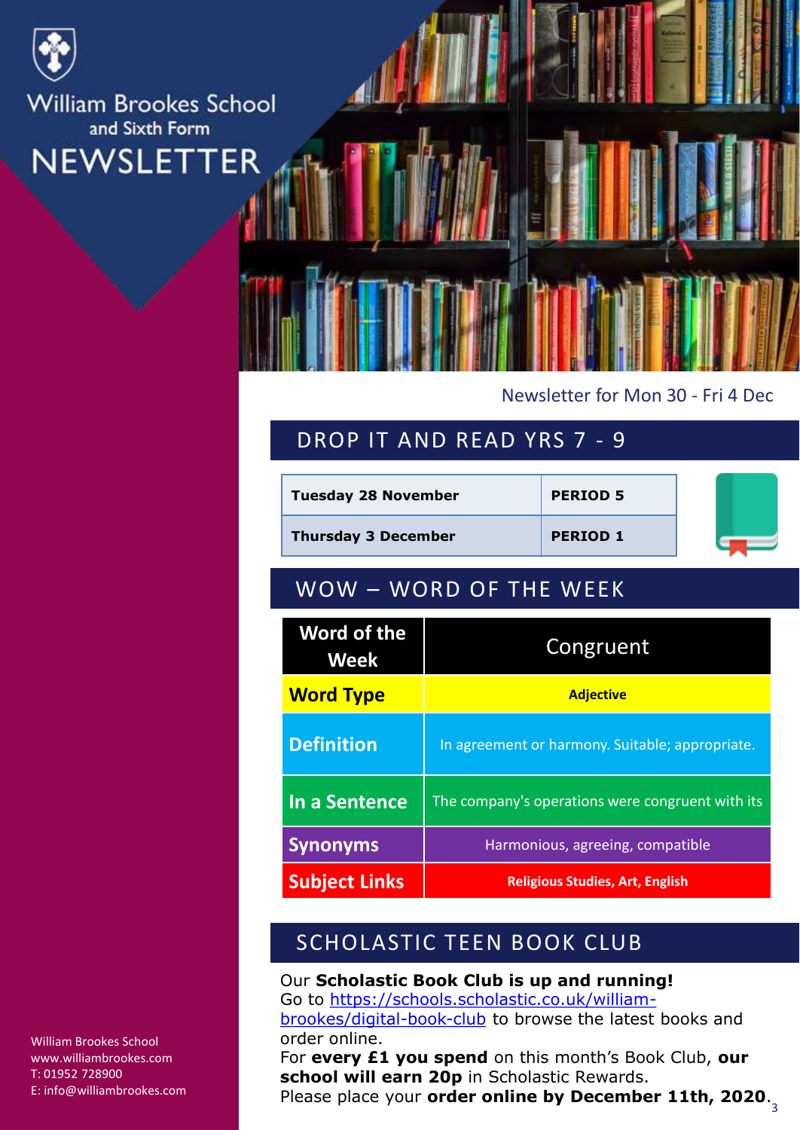

**William Brookes School** and Sixth Form **NEWSLETTER** 

#### Newsletter for Mon 30 - Fri 4 Dec

## DROP IT AND READ YRS 7 - 9

| <b>Tuesday 28 November</b> |                                                 | <b>PERIOD 5</b> |  |  |
|----------------------------|-------------------------------------------------|-----------------|--|--|
| <b>Thursday 3 December</b> |                                                 | <b>PERIOD 1</b> |  |  |
| WOW - WORD OF THE WEEK     |                                                 |                 |  |  |
| Word of the<br><b>Week</b> | Congruent                                       |                 |  |  |
| <b>Word Type</b>           | <b>Adjective</b>                                |                 |  |  |
| <b>Definition</b>          | In agreement or harmony. Suitable; appropriate. |                 |  |  |

| <u>Word Type</u>     | <b>Adjective</b>                                 |  |
|----------------------|--------------------------------------------------|--|
| <b>Definition</b>    | In agreement or harmony. Suitable; appropriate.  |  |
| In a Sentence        | The company's operations were congruent with its |  |
| <b>Synonyms</b>      | Harmonious, agreeing, compatible                 |  |
| <b>Subject Links</b> | <b>Religious Studies, Art, English</b>           |  |

# SCHOLASTIC TEEN BOOK CLUB

Our **Scholastic Book Club is up and running!** Go to [https://schools.scholastic.co.uk/william](https://schools.scholastic.co.uk/william-brookes/digital-book-club)brookes/digital-book-club to browse the latest books and order online.

3 Please place your **order online by December 11th, 2020**.For **every £1 you spend** on this month's Book Club, **our school will earn 20p** in Scholastic Rewards.

William Brookes School www.williambrookes.com T: 01952 728900 E: info@williambrookes.com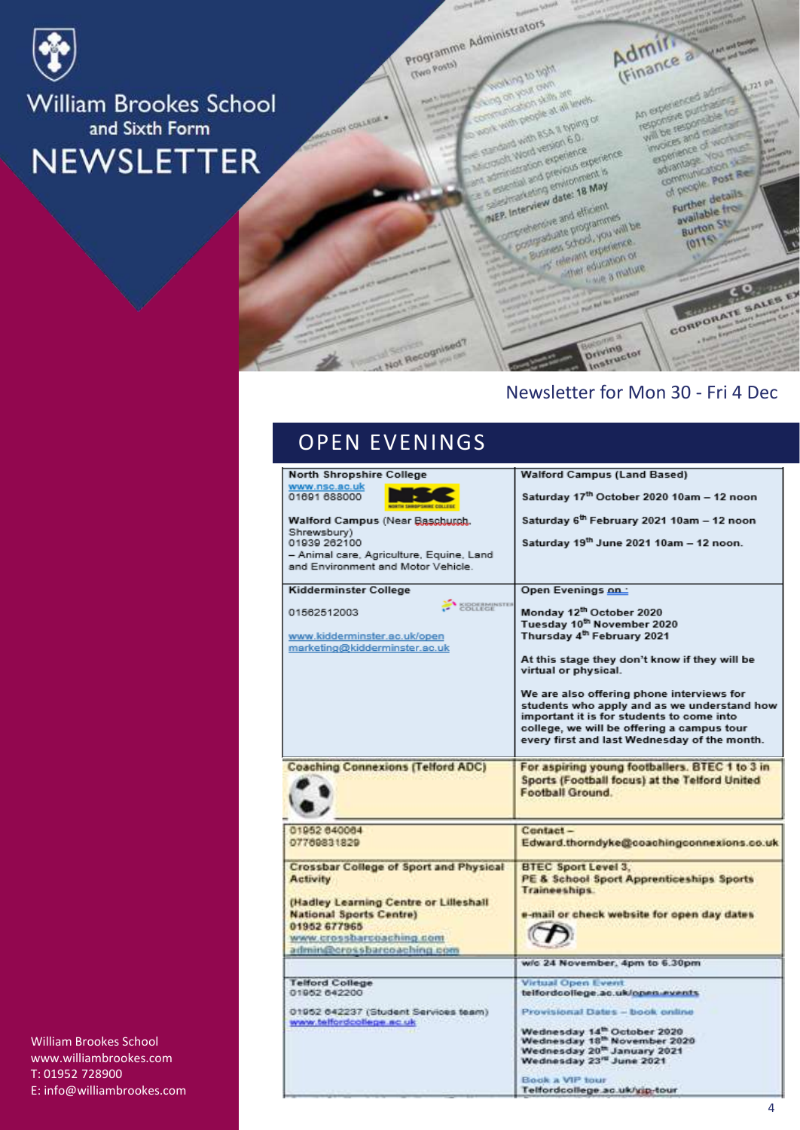

**William Brookes School** and Sixth Form **NEWSLETTER** 

Programme Administrators

**Gwo Posta)** 

Admin. **Man or protic** 

on you awn An experienced adm on your cam<br>on your cam are<br>cheaten skills at all y with propie at all levels<br>considers skills at all levels An experienced administration will be responsible for<br>responsive purchasine for<br>will be responsible for and with ession 6.0. invoices and maintains<br>will be responsible one with asA il types<br>sand with asA il types<br>croott Word version 6.0 experience of working<br>experience of working<br>experience You must woices and of working coand with version but<br>staft Word version experience<br>strinistration experience est<br>strinistration previonne

completed version of the most completed by the completed by the most completed by the most completed by the May<br>completed by the completed by the most completed by the most completed by the May of the May sperience<br>advantage vous a Interview date: 18 May dramage<br>communication<br>of people post Red **MEP. Interview date: 18 May**<br>MEP. Interview date: 18 May<br>MEP. Interview date: 18 May P. Interview date: 16<br>P. Interview date: 16 elfosont P. Interview<br>Statement and efficient<br>Officializate programmes<br>Sucress Shock you will

Business School Mariners manus education of educt education or education

CORPORATE SALES EX

f people<br>Further details

syallable from

available<br>Burton St

 $2110$ 

**A Second** 

 $J23.0<sup>3</sup>$ 

## Newsletter for Mon 30 - Fri 4 Dec

**Driving**<br>Driving<br>Instructor

# OPEN EVENINGS

Not Recognised?

| North Shropshire College                                                                                                                                                                                              | <b>Walford Campus (Land Based)</b>                                                                                                                                                                                                                                                                                                                                                                               |
|-----------------------------------------------------------------------------------------------------------------------------------------------------------------------------------------------------------------------|------------------------------------------------------------------------------------------------------------------------------------------------------------------------------------------------------------------------------------------------------------------------------------------------------------------------------------------------------------------------------------------------------------------|
| www.nsc.ac.uk<br>01691 688000                                                                                                                                                                                         | Saturday 17th October 2020 10am - 12 noon                                                                                                                                                                                                                                                                                                                                                                        |
| Walford Campus (Near Baschurch,                                                                                                                                                                                       | Saturday 6 <sup>th</sup> February 2021 10am - 12 noon                                                                                                                                                                                                                                                                                                                                                            |
| Shrewsbury)<br>01939 262100<br>- Animal care, Agriculture, Equine, Land<br>and Environment and Motor Vehicle.                                                                                                         | Saturday 19th June 2021 10am - 12 noon.                                                                                                                                                                                                                                                                                                                                                                          |
| <b>Kidderminster College</b>                                                                                                                                                                                          | Open Evenings on:                                                                                                                                                                                                                                                                                                                                                                                                |
| COLLEGE<br>01562512003<br>www.kidderminster.ac.uk/open<br>marketing@kidderminster.ac.uk                                                                                                                               | Monday 12th October 2020<br>Tuesday 10th November 2020<br>Thursday 4 <sup>th</sup> February 2021<br>At this stage they don't know if they will be<br>virtual or physical.<br>We are also offering phone interviews for<br>students who apply and as we understand how<br>important it is for students to come into<br>college, we will be offering a campus tour<br>every first and last Wednesday of the month. |
|                                                                                                                                                                                                                       |                                                                                                                                                                                                                                                                                                                                                                                                                  |
| <b>Coaching Connexions (Telford ADC)</b>                                                                                                                                                                              | For aspiring young footballers. BTEC 1 to 3 in<br>Sports (Football focus) at the Telford United<br>Football Ground.                                                                                                                                                                                                                                                                                              |
|                                                                                                                                                                                                                       |                                                                                                                                                                                                                                                                                                                                                                                                                  |
| 01952 640064<br>07769831829                                                                                                                                                                                           | Contact-<br>Edward.thorndyke@coachingconnexions.co.uk                                                                                                                                                                                                                                                                                                                                                            |
| <b>Crossbar College of Sport and Physical</b><br><b>Activity</b><br>(Hadley Learning Centre or Lilleshall<br><b>National Sports Centre)</b><br>01952 677965<br>www.crossbarcoaching.com<br>admin@crossbarcoaching.com | <b>BTEC Sport Level 3.</b><br>PE & School Sport Apprenticeships Sports<br>Traineeships.<br>e-mail or check website for open day dates                                                                                                                                                                                                                                                                            |
|                                                                                                                                                                                                                       | w/o 24 November, 4pm to 6.30pm                                                                                                                                                                                                                                                                                                                                                                                   |
| <b>Telford College</b><br>01952 642200<br>01952 642237 (Student Services team)<br>www.telfordcollege.nc.uk                                                                                                            | <b>Virtual Open Event</b><br>telfordcollege.ac.uk/open.events<br>Provisional Dates - book online<br>Wednesday 14 <sup>th</sup> October 2020<br>Wednesday 18 <sup>th</sup> November 2020<br>Wednesday 20 <sup>th</sup> January 2021<br>Wednesday 23" June 2021<br>Book a VIP tour<br>Telfordcollege.ac.uk/yip-tour                                                                                                |

William Brookes School www.williambrookes.com T: 01952 728900 E: info@williambrookes.com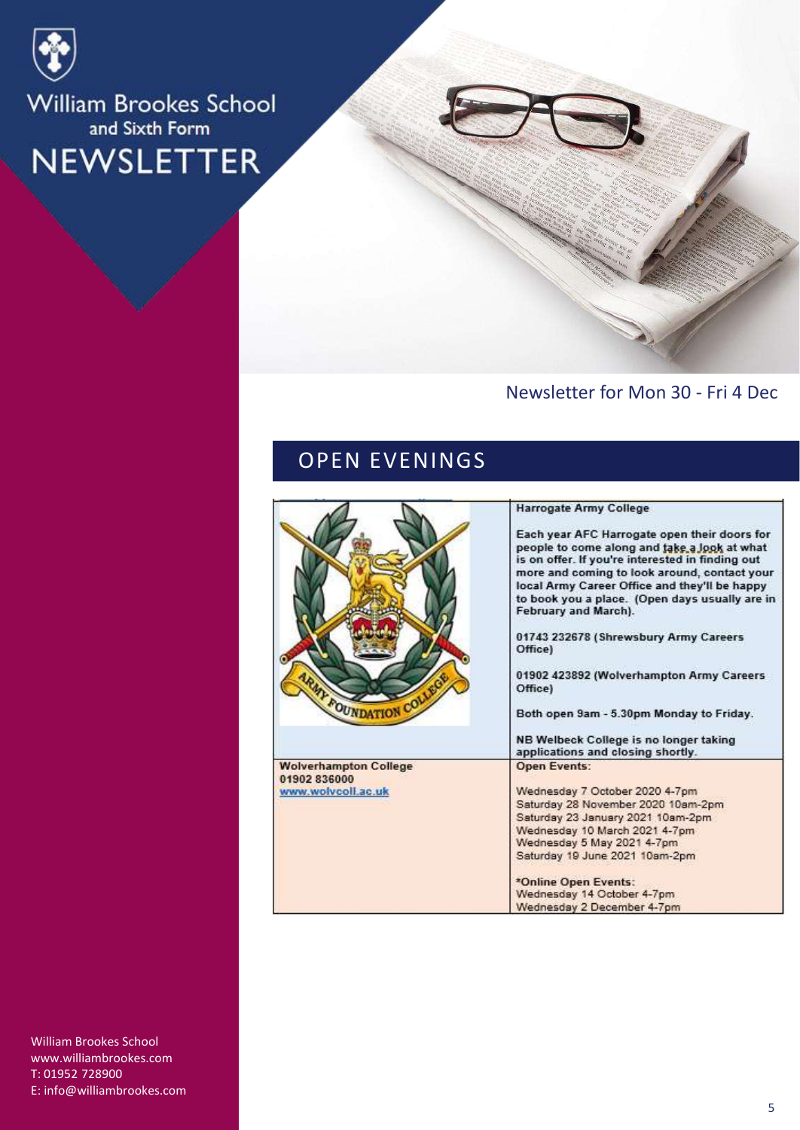

# William Brookes School and Sixth Form NEWSLETTER

## Newsletter for Mon 30 - Fri 4 Dec

# OPEN EVENINGS

| <b>MY FOUNDATION COLLE</b>                                         | <b>Harrogate Army College</b><br>Each year AFC Harrogate open their doors for<br>people to come along and take a look at what<br>is on offer. If you're interested in finding out<br>more and coming to look around, contact your<br>local Army Career Office and they'll be happy<br>to book you a place. (Open days usually are in<br>February and March).<br>01743 232678 (Shrewsbury Army Careers<br>Office)<br>01902 423892 (Wolverhampton Army Careers<br>Office)<br>Both open 9am - 5.30pm Monday to Friday.<br>NB Welbeck College is no longer taking<br>applications and closing shortly. |
|--------------------------------------------------------------------|----------------------------------------------------------------------------------------------------------------------------------------------------------------------------------------------------------------------------------------------------------------------------------------------------------------------------------------------------------------------------------------------------------------------------------------------------------------------------------------------------------------------------------------------------------------------------------------------------|
| <b>Wolverhampton College</b><br>01902 836000<br>www.wolvcoll.ac.uk | <b>Open Events:</b><br>Wednesday 7 October 2020 4-7pm<br>Saturday 28 November 2020 10am-2pm<br>Saturday 23 January 2021 10am-2pm<br>Wednesday 10 March 2021 4-7pm<br>Wednesday 5 May 2021 4-7pm<br>Saturday 19 June 2021 10am-2pm<br>*Online Open Events:<br>Wednesday 14 October 4-7pm<br>Wednesday 2 December 4-7pm                                                                                                                                                                                                                                                                              |

William Brookes School www.williambrookes.com T: 01952 728900 E: info@williambrookes.com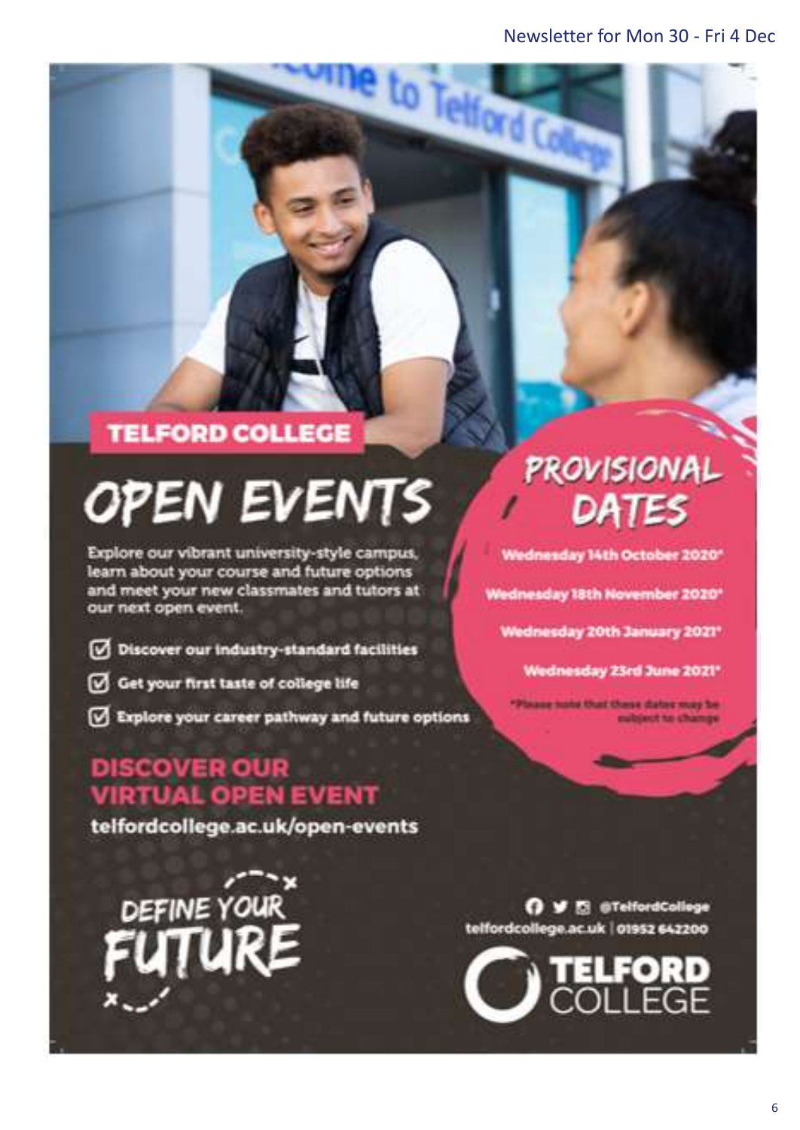to Telford C

# **TELFORD COLLEGE**

# **OPEN EVENTS**

Explore our vibrant university-style campus, learn about your course and future options and meet your new classmates and tutors at our next open event.

- Discover our industry-standard facilities
- Get your first taste of college life
- Explore your career pathway and future options

# **DISCOVER OUR VIRTUAL OPEN EVENT**

telfordcollege.ac.uk/open-events

DEFINE YOUR

# **PROVISIONAL** DATES

Wednesday 14th October 2020\*

Wednesday 18th November 2020\*

Wednesday 20th January 2021\*

Wednesday 23rd June 2021\*

aug nate that these dates may be ubject to change

O V El @TelfordCollege telfordcollege.ac.uk | 01952 642200

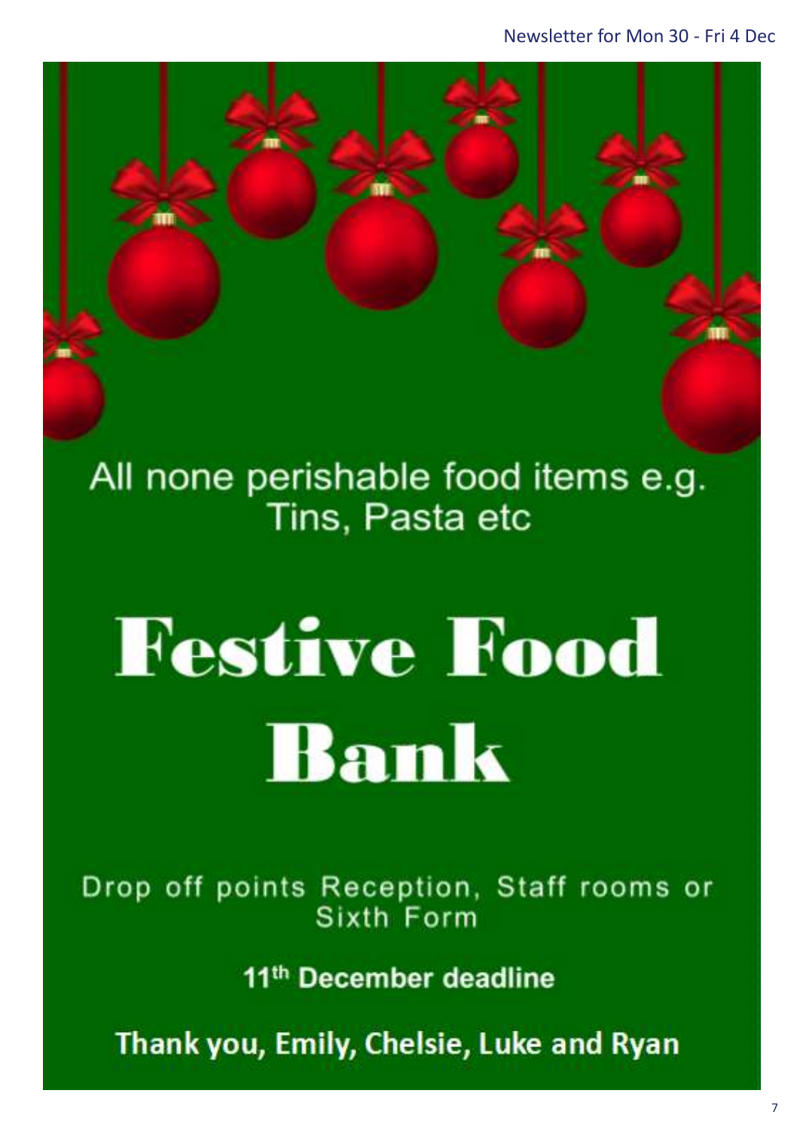All none perishable food items e.g. Tins, Pasta etc

Right click and select → Change Picture… to

add any posters sent in for the newsletter

# **Festive Food** Bank

Drop off points Reception, Staff rooms or Sixth Form

11<sup>th</sup> December deadline

Thank you, Emily, Chelsie, Luke and Ryan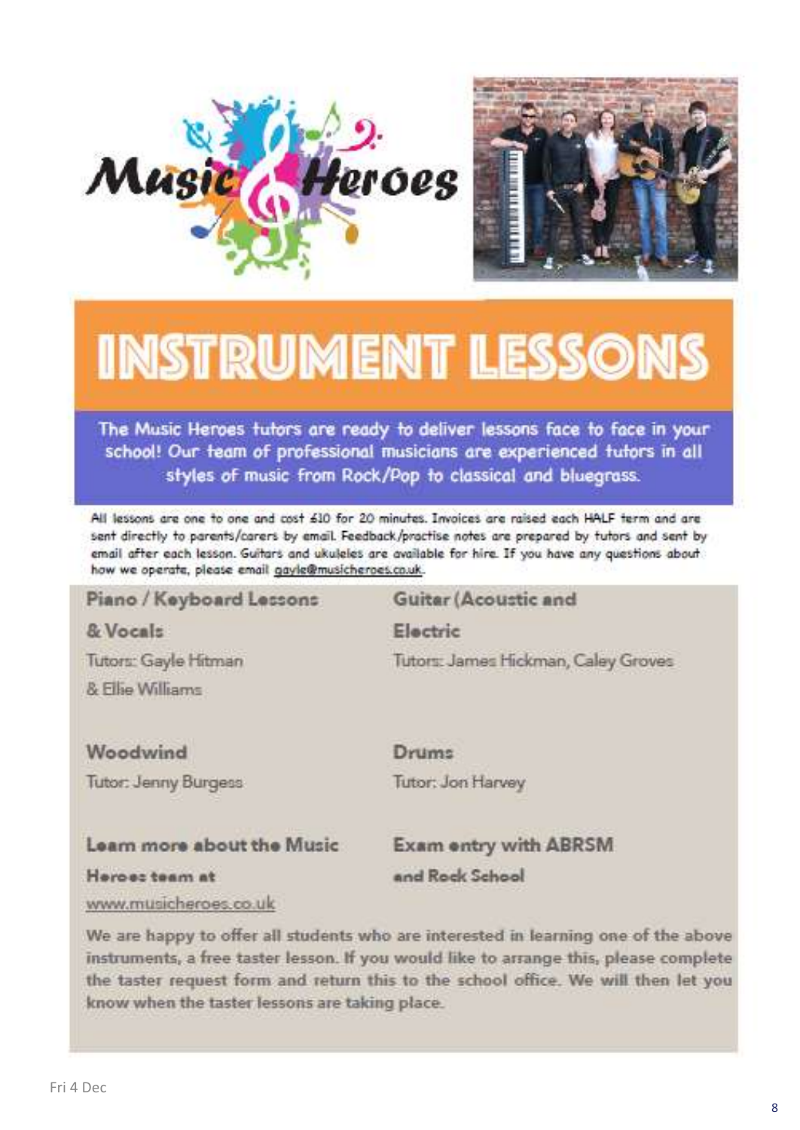



# **INSTRUMENT LESSONS**

The Music Heroes tutors are ready to deliver lessons face to face in your school! Our team of professional musicians are experienced tutors in all styles of music from Rock/Pop to classical and bluegrass.

All lessons are one to one and cost 610 for 20 minutes. Invoices are raised each HALF term and are sent directly to parents/carers by email. Feedback/practise notes are prepared by tutors and sent by email after each lesson. Guitars and ukuleles are available for hire. If you have any questions about how we operate, please email gayle@musicheroes.co.uk.

#### Piano / Keyboard Lessons Guitar (Acoustic and & Vocals Electric Tutors: Gayle Hitman Tutors: James Hickman, Caley Groves & Filip Williams Woodwind

Tutor: Jenny Burgess

Drums Tutor: Jon Harvey

#### Learn more about the Music

**Exam entry with ABRSM** and Rock School

Heroes team at

www.musicheroes.co.uk

We are happy to offer all students who are interested in learning one of the above instruments, a free taster lesson. If you would like to arrange this, please complete the taster request form and return this to the school office. We will then let you know when the taster lessons are taking place.